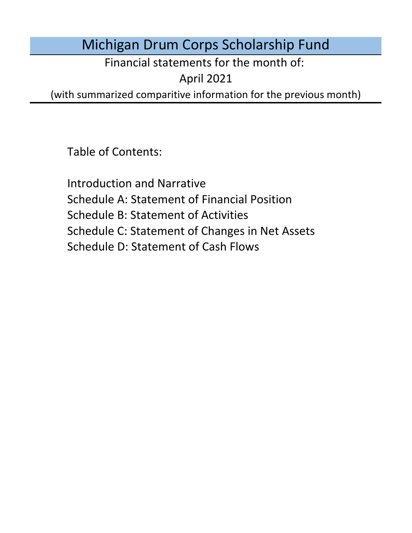# Michigan Drum Corps Scholarship Fund

Financial statements for the month of:

April 2021

(with summarized comparitive information for the previous month)

Table of Contents:

Schedule D: Statement of Cash Flows Introduction and Narrative Schedule A: Statement of Financial Position Schedule B: Statement of Activities Schedule C: Statement of Changes in Net Assets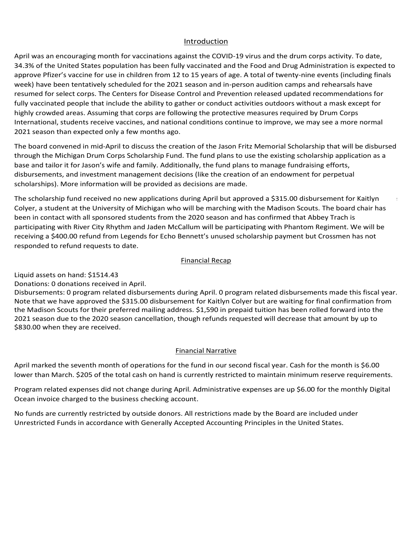### Introduction Introduction Introduction

<u>Introduction</u><br>April was an encouraging month for vaccinations against the COVID-19 virus and the drum corps activity. To date, <u>Introduction</u><br>April was an encouraging month for vaccinations against the COVID-19 virus and the drum corps activity. To date,<br>34.3% of the United States population has been fully vaccinated and the Food and Drug Administ approve Pfizer's vaccine for use in children from 12 to 15 years of age. A total of twenty-nine events (including finals week) have been tentatively scheduled for the 2021 season and in-person audition camps and rehearsals have<br>resumed for select corps. The Centers for Disease Control and Prevention released updated recommendations for resumed for select corps. The Centers for Disease Control and Prevention released updated recommendations for<br>fully vaccinated people that include the ability to gather or conduct activities outdoors without a mask except International, students receive vaccines, and national conditions continue to improve, we may see a more normal<br>2021 season than expected only a few months ago. 2021 season than expected only a few months ago. Disbursements: 0 program related disbursements during January. Supported biny a fear months age. rany vaccinated people that include the ability to gather of conduct activities outdoors without a mask except for<br>highly crowded areas. Assuming that corps are following the protective measures required by Drum Corps is population has been fully vaccinated and the Food and Drug Administration is expected to or use in children from 12 to 15 years of age. A total of twenty-nine events (including finals ely scheluled for the 2021 season a oractionion against the COVID-19 virus and the drum corps activity. To date, the conden in this been fully vaccinated and the food and Drug Administration is expected ildren from 12 to 15 years of age. A total of twenty-ni resumed for select corps. The Centers for Disease Control and Prevention released updated recommendations for Inginy crowded areas. Assuming that corps are following the protective measures required by Brum corps.<br>International students receive vaccines, and national conditions continue to improve, we may see a more normal memational, statents reterve vacules, and hational conditions continue to improve, we may see a more normal<br>2021 season than expected only a few months age List season man expected only a rew months ago. highly crowded areas. Assuming that corps are following the protective measures required by Drum Corps mginy provided dieds. Assuming that sorps die ronowing the protective medsures required by Brum corps.<br>International, students receive vaccines, and patienal conditions centinue to improve, we may see a more permal  $3021$  season than expected. memational, statents reteire vacants, and hational conditions continue to improve, we may see a more normal.<br>2021 season than expected oply a few months age. **EVEL SCOSON than Expected Only a TEW MONTHS appli** International, students receive vaccines, and national conditions continue to improve, we may see a more normal<br>2021 seesen than expected only a four menths age. memational, statents receive vacantes, and national conditional events. The mation of  $2021$  season than expected only a few months ago. Safety Safety Managerica only a raw months ago.

through the micrigan or any corporation of the final the rand plans to use the existing scholarship approaction as a<br>base and tailor it for Jason's wife and family. Additionally, the fund plans to manage fundraising effort base and tailor it for Jason's wife and family. Additionally, the fund plans to manage fundraising efforts,<br>disbursements, and investment management decisions (like the creation of an endowment for perpetual scholarships). More information will be provided as decisions are made. The board convened in mid-April to discuss the creation of the Jason Fritz Memorial Scholarship that will be disbursed<br>through the Michigan Drum Corps Scholarship Fund. The fund plans to use the existing scholarship applic through the Michigan Drum Corps Scholarship Fund. The fund plans to use the existing scholarship application as a program the board believes this fulfills our stated mission for funds disbursed this fiscal year. Additionally, base and tailor it for Jason's wife and family. Additionally, the fund plans to manage fundraising enorts,<br>disbursements, and investment management decisions (like the creation of an endowment for perpetual<br>scholarshins).  $\frac{3}{2}$  of DCI's Division 1 / World Class corps, officially kicked off on  $\frac{3}{2}$  show selections based on  $\frac{3}{2}$  show selections based on  $\frac{3}{2}$  show selections based on  $\frac{3}{2}$  show selections based on  $\frac{3$ member health will require substantial provements for each ensemble. Potential to each ensemble. Potential tou<br>The changes in provements for each ensemble. Potential tour changes in the changes of each ensemble. Potential substantial process improvements for each ensemble. Potential tour changes folding due to the pandemic. sendiary inpoperties intermation will be provided as decisions are made. the significant positive Valence), and national conditions continue to improve, we may see a more normal.<br>The significant positive December 3rd, Drum Corps International and the Jason Fritz Memorial Scholarship that will b The board convened in mid-April to discuss the creation of the Jason Fritz Memorial Scholarship that will be disbursed<br>through the Michigan Drum Corps Scholarship Fund. The fund plans to use the existing scholarship applic instruction sessions. River Communication sessions with the distance of the characteristic perpetual performance instruction and performance opportunities opportunities. Legends has not announced a virtual learni absarbements, and infestment management accisions fine the creation of an enactment for perpetual plant for video and private second private second private second private second private second private second private second instruction sessions. River City Rhythm continues to host the distance and Distance and Distance and Distance <br>The Microsoft Winter Experience and Distance and Distance and Distance and Distance and Distance and Distance modulation. The board chair has been in contact with a contact with all sponsored students from the perpetual scholarships). More information will be provided as decisions are made.

The scholarship fund received no new applications during April but approved a \$315.00 disbursement for Kaitlyn Colyer, a student at the University of Michigan who will be marching with the Madison Scouts. The board chair has<br>been in contact with all sponsored students from the 2020 season and has confirmed that Abbey Trach is<br>parti participating with River City Rhythm and Jaden McCallum will be participating with Phantom Regiment. We will be participating with Kiver City Krigthin and Jaden McCalldin will be participating with Fhantoni Kegiment. We wil<br>receiving a \$400.00 refund from Legends for Echo Bennett's unused scholarship payment but Crossmen has no receiving a 5400.00 forund from Eegends for Eeno Bennett's unased scholarsing payment but erossinen has not<br>responded to refund requests to date. No funds are currently response to the Board are included by the Board are included under the Board are included under the Board are included under the Board are included under the Board are included under the Board are in Colyer, a student at the University of Michigan who will be marching with the Madison Scouts. The board chair has<br>been in contact with all sponsored students from the 2020 season and has confirmed that Abbey Trach is responded to relationely destinated during during  $\frac{1}{2}$  $\frac{1}{2}$  responded to refund requests to responded to refund requests to date. ta from Eigenas for Echo Berniett 5 anasea 5<br>uests to date.<br>IS14.43<br>eceived in April. Discriburg a p400.00 ferund from Legends for Echo Bennett's difused Sc participating their river ony miyemicana saach meeding meeting of volume memoritors regiments we thin be annual continue to monitor the board with continue to monitor the board with continue to monitor the board with conti recenting a photoonerand non-eegends for eeno bennett standsed scholarship payment bat erossinen has partielpating with times engining and saden meeding in this separation.<br>Financial Recapation because and the capacity of the separation because to data. participating members city hirytim and saden mecanam will be participating with mantenmicginitent we will be re<br>receiving a \$400.00 refund from Legends for Echo Bennett's unused scholarship payment but Crossmen has not

### No funds are currently restricted by outside donors. All restrictions made by the Board are included under under under under the Board are included under the Board are included under the Board are included under the Board enerally Accounting Principles in the United States. The United States in the United States. The United States in the United States. The United States. The United States. The United States. The United States. The United St  $F_{\rm in a\,reacial}$  Decancellation of the  $r_{\rm in a\,reac}$  $\frac{1}{2}$  matricial refunds refunds refunds refunds refunds refunds refunds refunds refunds refunds refunds refunds refunds refunds refunds refunds refunds refunds refunds refunds refunds refunds refunds refunds refunds r May marked the ninth month of operations for the fund under its declared fiscal year. Cash for the month of the month of the month of the month of the month of the month of the month of the month of the month of the month Financial Recap Financial Recap Donations: 4 PayPal donations transferred in November. Disbursements: 0 program related disbursements during November. 0 program related disbursements made this  $\mathcal{L}$ year. 1,590 in preparation has been rolled forward into the 2021 season due to the 2020 season due to the 20<br>International to the 2021 season due to the 2020 season cancellation. 2020 season due to the 2020 season due

Liquid assets on hand: \$1514.43  $\,$ 

Liquid assets on nanu. 51514.45<br>Donations: 0 donations received in April.

Donations: 0 donations received in April.<br>Disbursements: 0 program related disbursements during April. 0 program related disbursements made this fiscal year. Disbursements. O program related disbursements during April. O program related disbursements made this fiscal year<br>Note that we have approved the \$315.00 disbursement for Kaitlyn Colyer but are waiting for final confirmati the Madison Scouts for their preferred mailing address. \$1,590 in prepaid tuition has been rolled forward into the 2021 season due to the 2020 season cancellation, though refunds requested will decrease that amount by up to  $$830.00$  when they are received. Finent for Nartight C the Madison Scouts for their preferred mailing address. \$1,590 in prepaid tuition has been rolled forward into the elect waddson bebuts for their preferred maning dudress. 41,990 in prepaid tuthon has been rolled forward into th<br>2021 season due to the 2020 season cancellation, though refunds requested will decrease that amount by up to

### No funds are currently restricted by outside and all restrictions made by the Board are included under under under under under the Board are included under the Board are included under the Board are included under the Boar season, program experiences are experienced to either remain at the year-to-date balance of  $\epsilon$ 2021 season. Administrative expenses are up the monthly Digital Ocean involvement of the monthly Digital Ocean involvement of the monthly Digital Ocean involvement of the monthly Digital Ocean involvement of the monthly Di **Financial Narrative**<br> **Financial Narrative** than September. \$205 of the total cash on hand is currently restricted to maintain minimum reserve requirements. Program relation relationship in the monthly not change during November. Administrative expenses are up  $\mathcal{A}$ Digital Ocean invoice charged to the business checking account. Program related expenses did not change during February. Administrative expenses are up \$6.00 for the monthly <u>Pinancial Nati</u>

April marked the seventh month of operations for the fund in our second fiscal year. Cash for the month is \$6.00 lower than March. \$205 of the total cash on hand is currently restricted to maintain minimum reserve requirements. April marked the seventh month of operations for the fund in our second fiscal year. Cash for the month is \$6.00<br>. business checking account and the annual website domain name renewal. With the cancellation of the 2020 April marked the seventh month of operations for the fund in our second fiscal year. Cash for the month is \$6.00 Aprii marked the seventh month of operations for the fu April marked the seventh month of operations for the fund in our second fiscal vear. Cash for the month is April marked the seventh month of operations for the fund in our second fiscal year. Cash for the month is \$6.00<br>. April marked the seventh month of operations for the fund in our second fiscal year. Cash for the month is \$6.00 lower than March. \$205 of the total cash on hand is currently restricted to maintain minimum reserve requirements.

Discusses included currences did not change during Angli. Administrative currence and up CC 00 for the meanthly f Ocean invoice charged to the business checking account. Uncern invoice charged to the Basiness checking account. according accounting Accounting Principles in the United States. Program related expenses did not change during April. Administrative expenses are up \$6.00 for the r<br>-Program related expenses did not change during April. Administrative expenses are up \$6.00 for the monthly Digital

No funds are currently restricted by outside donors. All restrictions made by the Board are included under Unrestricted Funds in accordance with Generally Accepted Accounting Principles in the United States. Unrestricted Funds in accordance with Generally Accepted Accounting Principles in the United States.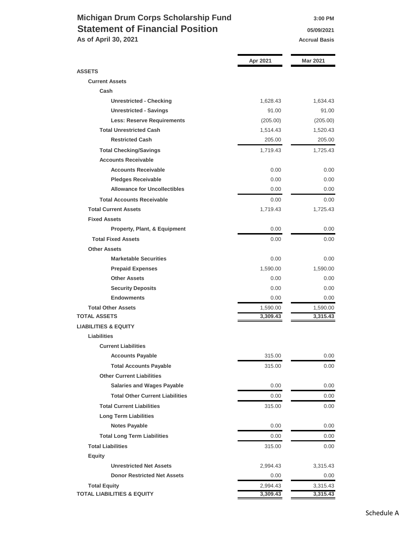## **Michigan Drum Corps Scholarship Fund 3:00 PM Statement of Financial Position 1976** 05/09/2021 **As of April 30, 2021 Accrual Basis Accrual Basis**

|                                        | Apr 2021 | <b>Mar 2021</b> |
|----------------------------------------|----------|-----------------|
| <b>ASSETS</b>                          |          |                 |
| <b>Current Assets</b>                  |          |                 |
| Cash                                   |          |                 |
| <b>Unrestricted - Checking</b>         | 1,628.43 | 1,634.43        |
| <b>Unrestricted - Savings</b>          | 91.00    | 91.00           |
| <b>Less: Reserve Requirements</b>      | (205.00) | (205.00)        |
| <b>Total Unrestricted Cash</b>         | 1,514.43 | 1,520.43        |
| <b>Restricted Cash</b>                 | 205.00   | 205.00          |
| <b>Total Checking/Savings</b>          | 1,719.43 | 1,725.43        |
| <b>Accounts Receivable</b>             |          |                 |
| <b>Accounts Receivable</b>             | 0.00     | 0.00            |
| <b>Pledges Receivable</b>              | 0.00     | 0.00            |
| <b>Allowance for Uncollectibles</b>    | 0.00     | 0.00            |
| <b>Total Accounts Receivable</b>       | 0.00     | 0.00            |
| <b>Total Current Assets</b>            | 1,719.43 | 1,725.43        |
| <b>Fixed Assets</b>                    |          |                 |
| Property, Plant, & Equipment           | 0.00     | 0.00            |
| <b>Total Fixed Assets</b>              | 0.00     | 0.00            |
| <b>Other Assets</b>                    |          |                 |
| <b>Marketable Securities</b>           | 0.00     | 0.00            |
| <b>Prepaid Expenses</b>                | 1,590.00 | 1,590.00        |
| <b>Other Assets</b>                    | 0.00     | 0.00            |
| <b>Security Deposits</b>               | 0.00     | 0.00            |
| <b>Endowments</b>                      | 0.00     | 0.00            |
| <b>Total Other Assets</b>              | 1,590.00 | 1,590.00        |
| <b>TOTAL ASSETS</b>                    | 3,309.43 | 3,315.43        |
| <b>LIABILITIES &amp; EQUITY</b>        |          |                 |
| <b>Liabilities</b>                     |          |                 |
| <b>Current Liabilities</b>             |          |                 |
| <b>Accounts Payable</b>                | 315.00   | 0.00            |
| <b>Total Accounts Payable</b>          | 315.00   | 0.00            |
| <b>Other Current Liabilities</b>       |          |                 |
| <b>Salaries and Wages Payable</b>      | 0.00     | 0.00            |
| <b>Total Other Current Liabilities</b> | 0.00     | 0.00            |
| <b>Total Current Liabilities</b>       | 315.00   | 0.00            |
| <b>Long Term Liabilities</b>           |          |                 |
| <b>Notes Payable</b>                   | 0.00     | 0.00            |
| <b>Total Long Term Liabilities</b>     | 0.00     | 0.00            |
| <b>Total Liabilities</b>               | 315.00   | 0.00            |
| <b>Equity</b>                          |          |                 |
| <b>Unrestricted Net Assets</b>         | 2,994.43 | 3,315.43        |
| <b>Donor Restricted Net Assets</b>     | 0.00     | 0.00            |
| <b>Total Equity</b>                    | 2,994.43 | 3,315.43        |
| <b>TOTAL LIABILITIES &amp; EQUITY</b>  | 3,309.43 | 3,315.43        |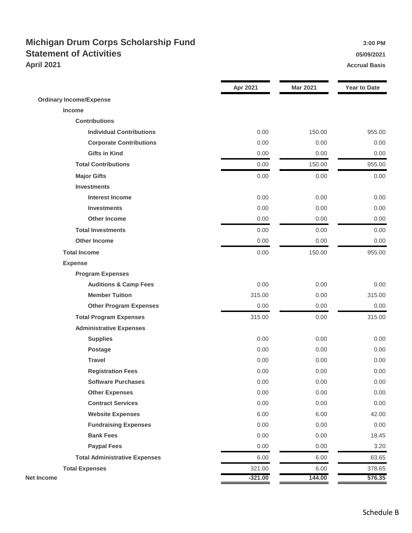## **Michigan Drum Corps Scholarship Fund 3:00 PM** 3:00 PM **Statement of Activities 1978 1989 1989 1989 1989 1989 1989 1989 1989 1989 1989 1989 1989 1989 1989 1989 1989 1989 1989 1989 1989 1989 1989 1989 1989 1989 1989 1989 April 2021 Accrual Basis**

|                                      | Apr 2021  | <b>Mar 2021</b> | <b>Year to Date</b> |
|--------------------------------------|-----------|-----------------|---------------------|
| <b>Ordinary Income/Expense</b>       |           |                 |                     |
| Income                               |           |                 |                     |
| <b>Contributions</b>                 |           |                 |                     |
| <b>Individual Contributions</b>      | 0.00      | 150.00          | 955.00              |
| <b>Corporate Contributions</b>       | 0.00      | 0.00            | 0.00                |
| <b>Gifts in Kind</b>                 | 0.00      | 0.00            | 0.00                |
| <b>Total Contributions</b>           | 0.00      | 150.00          | 955.00              |
| <b>Major Gifts</b>                   | 0.00      | 0.00            | 0.00                |
| <b>Investments</b>                   |           |                 |                     |
| <b>Interest Income</b>               | 0.00      | 0.00            | 0.00                |
| <b>Investments</b>                   | 0.00      | 0.00            | 0.00                |
| <b>Other Income</b>                  | 0.00      | 0.00            | 0.00                |
| <b>Total Investments</b>             | 0.00      | 0.00            | 0.00                |
| <b>Other Income</b>                  | 0.00      | 0.00            | 0.00                |
| <b>Total Income</b>                  | 0.00      | 150.00          | 955.00              |
| <b>Expense</b>                       |           |                 |                     |
| <b>Program Expenses</b>              |           |                 |                     |
| <b>Auditions &amp; Camp Fees</b>     | 0.00      | 0.00            | 0.00                |
| <b>Member Tuition</b>                | 315.00    | 0.00            | 315.00              |
| <b>Other Program Expenses</b>        | 0.00      | 0.00            | 0.00                |
| <b>Total Program Expenses</b>        | 315.00    | 0.00            | 315.00              |
| <b>Administrative Expenses</b>       |           |                 |                     |
| <b>Supplies</b>                      | 0.00      | 0.00            | 0.00                |
| <b>Postage</b>                       | 0.00      | 0.00            | 0.00                |
| <b>Travel</b>                        | 0.00      | 0.00            | 0.00                |
| <b>Registration Fees</b>             | 0.00      | 0.00            | 0.00                |
| <b>Software Purchases</b>            | 0.00      | 0.00            | 0.00                |
| <b>Other Expenses</b>                | 0.00      | 0.00            | 0.00                |
| <b>Contract Services</b>             | 0.00      | 0.00            | 0.00                |
| <b>Website Expenses</b>              | 6.00      | 6.00            | 42.00               |
| <b>Fundraising Expenses</b>          | 0.00      | 0.00            | 0.00                |
| <b>Bank Fees</b>                     | 0.00      | 0.00            | 18.45               |
| <b>Paypal Fees</b>                   | 0.00      | 0.00            | 3.20                |
| <b>Total Administrative Expenses</b> | 6.00      | 6.00            | 63.65               |
| <b>Total Expenses</b>                | 321.00    | 6.00            | 378.65              |
| Net Income                           | $-321.00$ | 144.00          | 576.35              |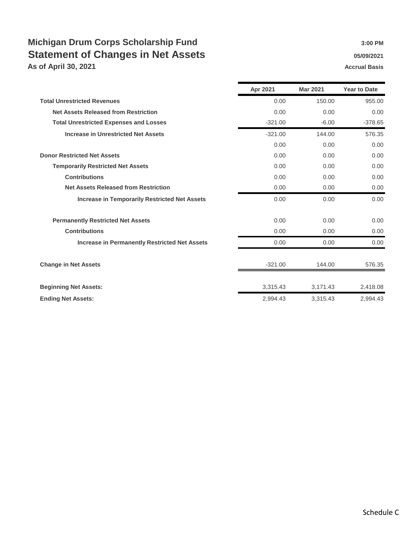# **Michigan Drum Corps Scholarship Fund 3:00 PM** 3:00 PM **Statement of Changes in Net Assets 1988 1989/2021 1989/2021**

**As of April 30, 2021 Accrual Basis Accrual Basis** 

|                                                      | Apr 2021  | <b>Mar 2021</b> | <b>Year to Date</b> |
|------------------------------------------------------|-----------|-----------------|---------------------|
| <b>Total Unrestricted Revenues</b>                   | 0.00      | 150.00          | 955.00              |
| <b>Net Assets Released from Restriction</b>          | 0.00      | 0.00            | 0.00                |
| <b>Total Unrestricted Expenses and Losses</b>        | $-321.00$ | $-6.00$         | $-378.65$           |
| <b>Increase in Unrestricted Net Assets</b>           | $-321.00$ | 144.00          | 576.35              |
|                                                      | 0.00      | 0.00            | 0.00                |
| <b>Donor Restricted Net Assets</b>                   | 0.00      | 0.00            | 0.00                |
| <b>Temporarily Restricted Net Assets</b>             | 0.00      | 0.00            | 0.00                |
| <b>Contributions</b>                                 | 0.00      | 0.00            | 0.00                |
| <b>Net Assets Released from Restriction</b>          | 0.00      | 0.00            | 0.00                |
| <b>Increase in Temporarily Restricted Net Assets</b> | 0.00      | 0.00            | 0.00                |
| <b>Permanently Restricted Net Assets</b>             | 0.00      | 0.00            | 0.00                |
| <b>Contributions</b>                                 | 0.00      | 0.00            | 0.00                |
| <b>Increase in Permanently Restricted Net Assets</b> | 0.00      | 0.00            | 0.00                |
| <b>Change in Net Assets</b>                          | $-321.00$ | 144.00          | 576.35              |
| <b>Beginning Net Assets:</b>                         | 3,315.43  | 3,171.43        | 2,418.08            |
| <b>Ending Net Assets:</b>                            | 2.994.43  | 3,315.43        | 2.994.43            |